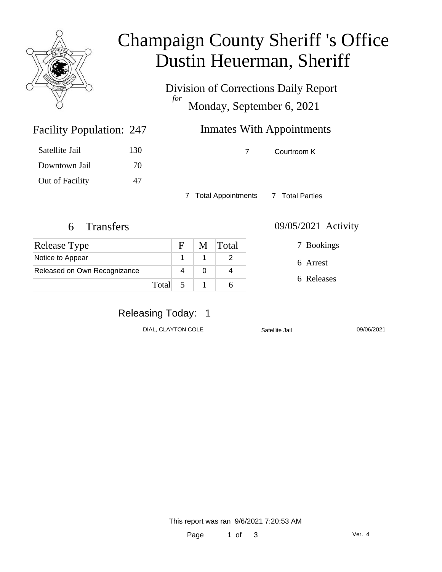

# Champaign County Sheriff 's Office Dustin Heuerman, Sheriff

Division of Corrections Daily Report *for* Monday, September 6, 2021

# Inmates With Appointments

7 Courtroom K

7 Total Appointments 7 Total Parties

Facility Population: 247

Satellite Jail 130

Downtown Jail 70

Out of Facility 47

| <b>Release Type</b>          |         | $\mathbf{E}$ | M Total |
|------------------------------|---------|--------------|---------|
| Notice to Appear             |         |              |         |
| Released on Own Recognizance |         |              |         |
|                              | Total 5 |              |         |

#### 6 Transfers 09/05/2021 Activity

7 Bookings

6 Arrest

6 Releases

# Releasing Today: 1

DIAL, CLAYTON COLE Satellite Jail 09/06/2021

This report was ran 9/6/2021 7:20:53 AM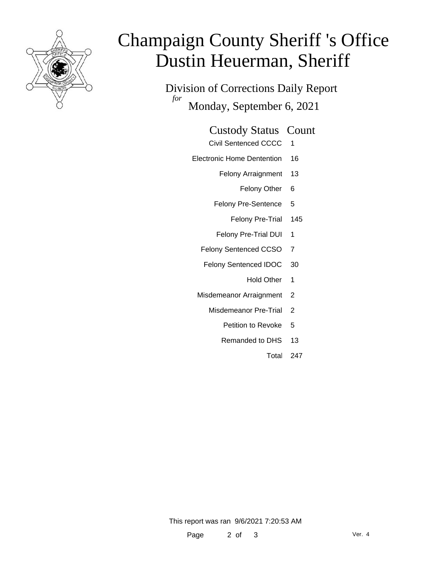

# Champaign County Sheriff 's Office Dustin Heuerman, Sheriff

Division of Corrections Daily Report *for* Monday, September 6, 2021

### Custody Status Count

- Civil Sentenced CCCC 1
- Electronic Home Dentention 16
	- Felony Arraignment 13
		- Felony Other 6
	- Felony Pre-Sentence 5
		- Felony Pre-Trial 145
	- Felony Pre-Trial DUI 1
	- Felony Sentenced CCSO 7
	- Felony Sentenced IDOC 30
		- Hold Other 1
	- Misdemeanor Arraignment 2
		- Misdemeanor Pre-Trial 2
			- Petition to Revoke 5
			- Remanded to DHS 13
				- Total 247

This report was ran 9/6/2021 7:20:53 AM